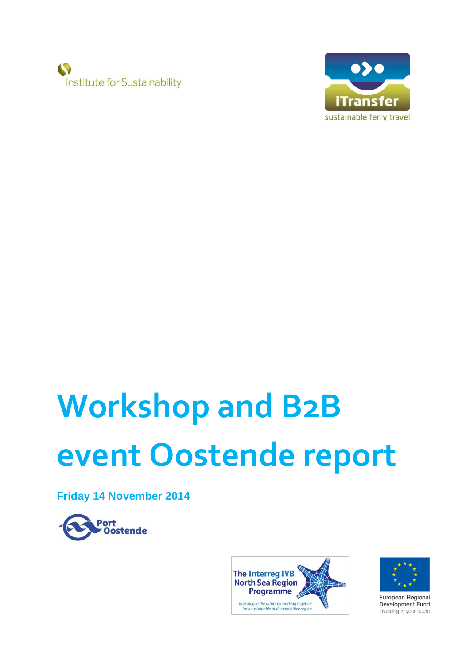



# **Workshop and B2B event Oostende report**

**Friday 14 November 2014**







European Regional Development Fund Investing in your future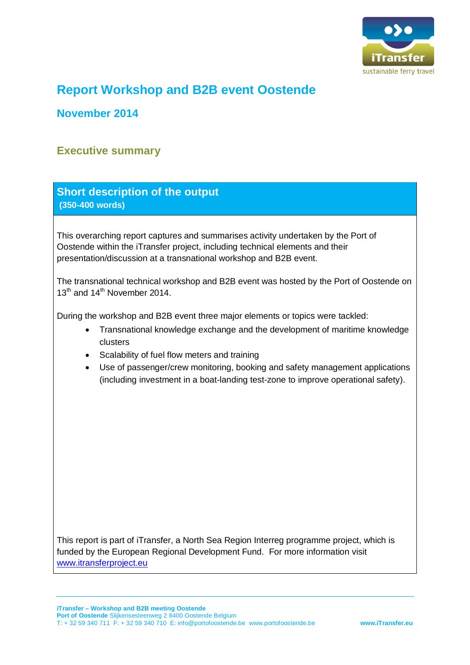

# <span id="page-1-0"></span>**Report Workshop and B2B event Oostende**

<span id="page-1-1"></span>**November 2014**

# <span id="page-1-2"></span>**Executive summary**

# **Short description of the output (350-400 words)**

This overarching report captures and summarises activity undertaken by the Port of Oostende within the iTransfer project, including technical elements and their presentation/discussion at a transnational workshop and B2B event.

The transnational technical workshop and B2B event was hosted by the Port of Oostende on 13<sup>th</sup> and 14<sup>th</sup> November 2014.

During the workshop and B2B event three major elements or topics were tackled:

- Transnational knowledge exchange and the development of maritime knowledge clusters
- Scalability of fuel flow meters and training
- Use of passenger/crew monitoring, booking and safety management applications (including investment in a boat-landing test-zone to improve operational safety).

This report is part of iTransfer, a North Sea Region Interreg programme project, which is funded by the European Regional Development Fund. For more information visit [www.itransferproject.eu](http://www.itransferproject.eu/)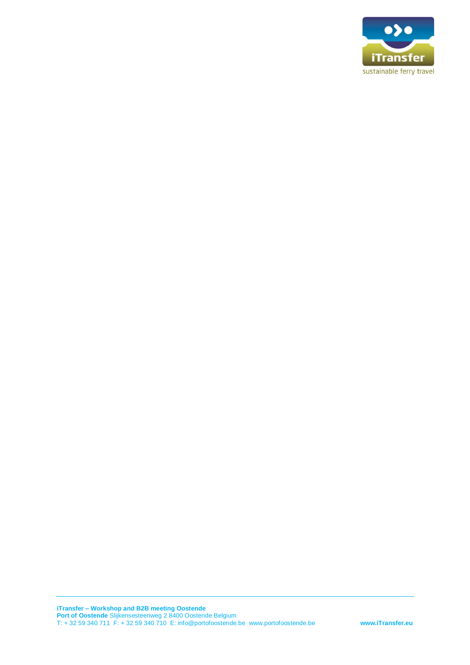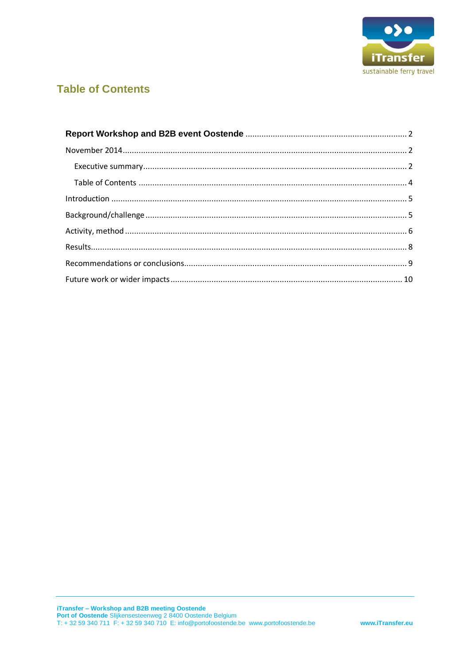

# <span id="page-3-0"></span>**Table of Contents**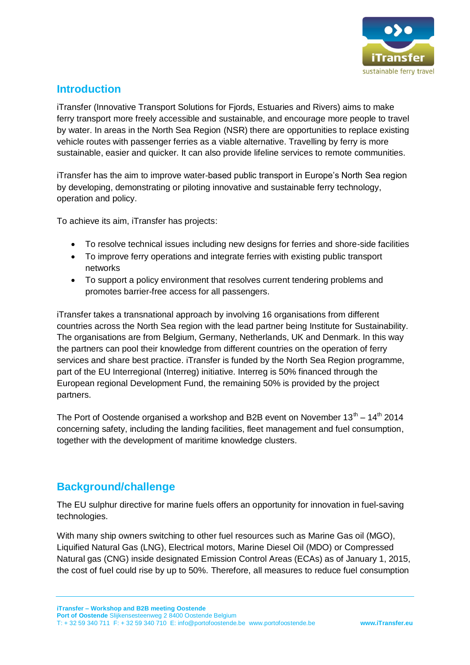

# <span id="page-4-0"></span>**Introduction**

iTransfer (Innovative Transport Solutions for Fjords, Estuaries and Rivers) aims to make ferry transport more freely accessible and sustainable, and encourage more people to travel by water. In areas in the North Sea Region (NSR) there are opportunities to replace existing vehicle routes with passenger ferries as a viable alternative. Travelling by ferry is more sustainable, easier and quicker. It can also provide lifeline services to remote communities.

iTransfer has the aim to improve water-based public transport in Europe's North Sea region by developing, demonstrating or piloting innovative and sustainable ferry technology, operation and policy.

To achieve its aim, iTransfer has projects:

- To resolve technical issues including new designs for ferries and shore-side facilities
- To improve ferry operations and integrate ferries with existing public transport networks
- To support a policy environment that resolves current tendering problems and promotes barrier-free access for all passengers.

iTransfer takes a transnational approach by involving 16 organisations from different countries across the North Sea region with the lead partner being Institute for Sustainability. The organisations are from Belgium, Germany, Netherlands, UK and Denmark. In this way the partners can pool their knowledge from different countries on the operation of ferry services and share best practice. iTransfer is funded by the North Sea Region programme, part of the EU Interregional (Interreg) initiative. Interreg is 50% financed through the European regional Development Fund, the remaining 50% is provided by the project partners.

The Port of Oostende organised a workshop and B2B event on November  $13^{th} - 14^{th}$  2014 concerning safety, including the landing facilities, fleet management and fuel consumption, together with the development of maritime knowledge clusters.

# <span id="page-4-1"></span>**Background/challenge**

The EU sulphur directive for marine fuels offers an opportunity for innovation in fuel-saving technologies.

With many ship owners switching to other fuel resources such as Marine Gas oil (MGO), Liquified Natural Gas (LNG), Electrical motors, Marine Diesel Oil (MDO) or Compressed Natural gas (CNG) inside designated Emission Control Areas (ECAs) as of January 1, 2015, the cost of fuel could rise by up to 50%. Therefore, all measures to reduce fuel consumption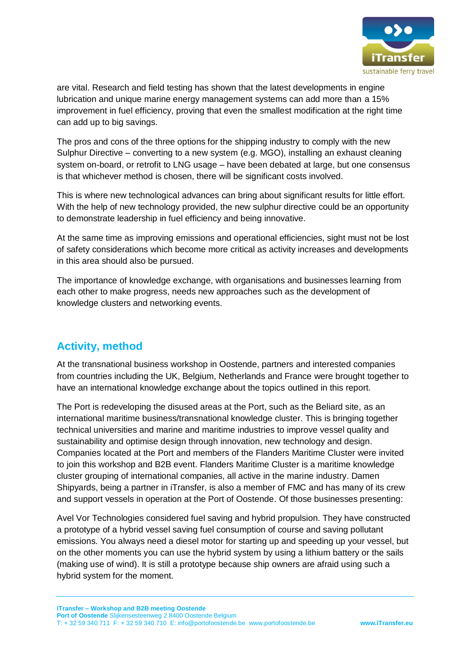

are vital. Research and field testing has shown that the latest developments in engine lubrication and unique marine energy management systems can add more than a 15% improvement in fuel efficiency, proving that even the smallest modification at the right time can add up to big savings.

The pros and cons of the three options for the shipping industry to comply with the new Sulphur Directive – converting to a new system (e.g. MGO), installing an exhaust cleaning system on-board, or retrofit to LNG usage – have been debated at large, but one consensus is that whichever method is chosen, there will be significant costs involved.

This is where new technological advances can bring about significant results for little effort. With the help of new technology provided, the new sulphur directive could be an opportunity to demonstrate leadership in fuel efficiency and being innovative.

At the same time as improving emissions and operational efficiencies, sight must not be lost of safety considerations which become more critical as activity increases and developments in this area should also be pursued.

The importance of knowledge exchange, with organisations and businesses learning from each other to make progress, needs new approaches such as the development of knowledge clusters and networking events.

# <span id="page-5-0"></span>**Activity, method**

At the transnational business workshop in Oostende, partners and interested companies from countries including the UK, Belgium, Netherlands and France were brought together to have an international knowledge exchange about the topics outlined in this report.

The Port is redeveloping the disused areas at the Port, such as the Beliard site, as an international maritime business/transnational knowledge cluster. This is bringing together technical universities and marine and maritime industries to improve vessel quality and sustainability and optimise design through innovation, new technology and design. Companies located at the Port and members of the Flanders Maritime Cluster were invited to join this workshop and B2B event. Flanders Maritime Cluster is a maritime knowledge cluster grouping of international companies, all active in the marine industry. Damen Shipyards, being a partner in iTransfer, is also a member of FMC and has many of its crew and support vessels in operation at the Port of Oostende. Of those businesses presenting:

Avel Vor Technologies considered fuel saving and hybrid propulsion. They have constructed a prototype of a hybrid vessel saving fuel consumption of course and saving pollutant emissions. You always need a diesel motor for starting up and speeding up your vessel, but on the other moments you can use the hybrid system by using a lithium battery or the sails (making use of wind). It is still a prototype because ship owners are afraid using such a hybrid system for the moment.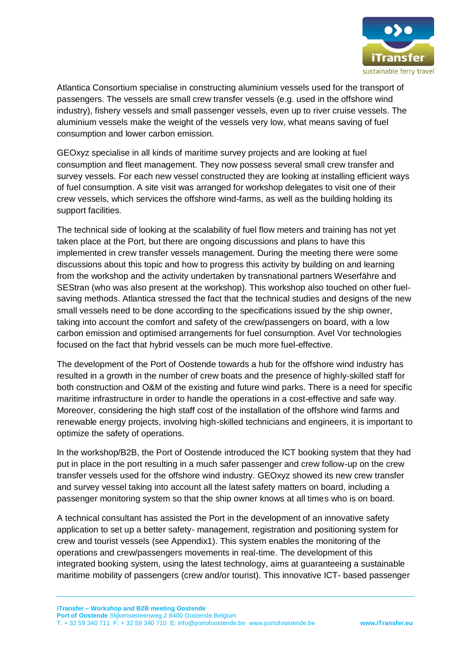

Atlantica Consortium specialise in constructing aluminium vessels used for the transport of passengers. The vessels are small crew transfer vessels (e.g. used in the offshore wind industry), fishery vessels and small passenger vessels, even up to river cruise vessels. The aluminium vessels make the weight of the vessels very low, what means saving of fuel consumption and lower carbon emission.

GEOxyz specialise in all kinds of maritime survey projects and are looking at fuel consumption and fleet management. They now possess several small crew transfer and survey vessels. For each new vessel constructed they are looking at installing efficient ways of fuel consumption. A site visit was arranged for workshop delegates to visit one of their crew vessels, which services the offshore wind-farms, as well as the building holding its support facilities.

The technical side of looking at the scalability of fuel flow meters and training has not yet taken place at the Port, but there are ongoing discussions and plans to have this implemented in crew transfer vessels management. During the meeting there were some discussions about this topic and how to progress this activity by building on and learning from the workshop and the activity undertaken by transnational partners Weserfähre and SEStran (who was also present at the workshop). This workshop also touched on other fuelsaving methods. Atlantica stressed the fact that the technical studies and designs of the new small vessels need to be done according to the specifications issued by the ship owner, taking into account the comfort and safety of the crew/passengers on board, with a low carbon emission and optimised arrangements for fuel consumption. Avel Vor technologies focused on the fact that hybrid vessels can be much more fuel-effective.

The development of the Port of Oostende towards a hub for the offshore wind industry has resulted in a growth in the number of crew boats and the presence of highly-skilled staff for both construction and O&M of the existing and future wind parks. There is a need for specific maritime infrastructure in order to handle the operations in a cost-effective and safe way. Moreover, considering the high staff cost of the installation of the offshore wind farms and renewable energy projects, involving high-skilled technicians and engineers, it is important to optimize the safety of operations.

In the workshop/B2B, the Port of Oostende introduced the ICT booking system that they had put in place in the port resulting in a much safer passenger and crew follow-up on the crew transfer vessels used for the offshore wind industry. GEOxyz showed its new crew transfer and survey vessel taking into account all the latest safety matters on board, including a passenger monitoring system so that the ship owner knows at all times who is on board.

A technical consultant has assisted the Port in the development of an innovative safety application to set up a better safety- management, registration and positioning system for crew and tourist vessels (see Appendix1). This system enables the monitoring of the operations and crew/passengers movements in real-time. The development of this integrated booking system, using the latest technology, aims at guaranteeing a sustainable maritime mobility of passengers (crew and/or tourist). This innovative ICT- based passenger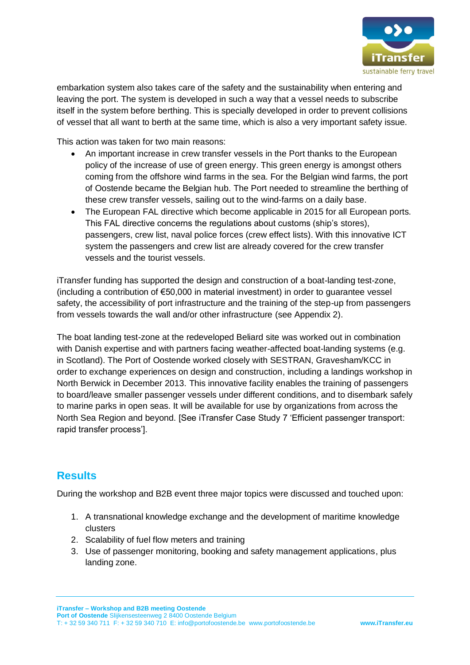

embarkation system also takes care of the safety and the sustainability when entering and leaving the port. The system is developed in such a way that a vessel needs to subscribe itself in the system before berthing. This is specially developed in order to prevent collisions of vessel that all want to berth at the same time, which is also a very important safety issue.

This action was taken for two main reasons:

- An important increase in crew transfer vessels in the Port thanks to the European policy of the increase of use of green energy. This green energy is amongst others coming from the offshore wind farms in the sea. For the Belgian wind farms, the port of Oostende became the Belgian hub. The Port needed to streamline the berthing of these crew transfer vessels, sailing out to the wind-farms on a daily base.
- The European FAL directive which become applicable in 2015 for all European ports. This FAL directive concerns the regulations about customs (ship's stores), passengers, crew list, naval police forces (crew effect lists). With this innovative ICT system the passengers and crew list are already covered for the crew transfer vessels and the tourist vessels.

iTransfer funding has supported the design and construction of a boat-landing test-zone, (including a contribution of  $\epsilon$ 50,000 in material investment) in order to quarantee vessel safety, the accessibility of port infrastructure and the training of the step-up from passengers from vessels towards the wall and/or other infrastructure (see Appendix 2).

The boat landing test-zone at the redeveloped Beliard site was worked out in combination with Danish expertise and with partners facing weather-affected boat-landing systems (e.g. in Scotland). The Port of Oostende worked closely with SESTRAN, Gravesham/KCC in order to exchange experiences on design and construction, including a landings workshop in North Berwick in December 2013. This innovative facility enables the training of passengers to board/leave smaller passenger vessels under different conditions, and to disembark safely to marine parks in open seas. It will be available for use by organizations from across the North Sea Region and beyond. [See iTransfer Case Study 7 'Efficient passenger transport: rapid transfer process'].

# <span id="page-7-0"></span>**Results**

During the workshop and B2B event three major topics were discussed and touched upon:

- 1. A transnational knowledge exchange and the development of maritime knowledge clusters
- 2. Scalability of fuel flow meters and training
- 3. Use of passenger monitoring, booking and safety management applications, plus landing zone.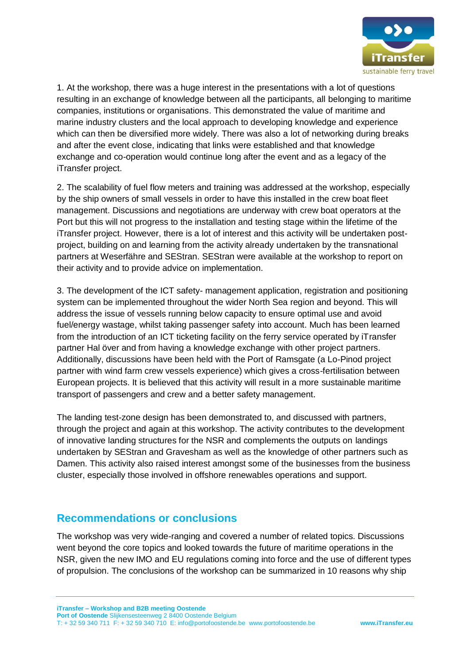

1. At the workshop, there was a huge interest in the presentations with a lot of questions resulting in an exchange of knowledge between all the participants, all belonging to maritime companies, institutions or organisations. This demonstrated the value of maritime and marine industry clusters and the local approach to developing knowledge and experience which can then be diversified more widely. There was also a lot of networking during breaks and after the event close, indicating that links were established and that knowledge exchange and co-operation would continue long after the event and as a legacy of the iTransfer project.

2. The scalability of fuel flow meters and training was addressed at the workshop, especially by the ship owners of small vessels in order to have this installed in the crew boat fleet management. Discussions and negotiations are underway with crew boat operators at the Port but this will not progress to the installation and testing stage within the lifetime of the iTransfer project. However, there is a lot of interest and this activity will be undertaken postproject, building on and learning from the activity already undertaken by the transnational partners at Weserfähre and SEStran. SEStran were available at the workshop to report on their activity and to provide advice on implementation.

3. The development of the ICT safety- management application, registration and positioning system can be implemented throughout the wider North Sea region and beyond. This will address the issue of vessels running below capacity to ensure optimal use and avoid fuel/energy wastage, whilst taking passenger safety into account. Much has been learned from the introduction of an ICT ticketing facility on the ferry service operated by iTransfer partner Hal över and from having a knowledge exchange with other project partners. Additionally, discussions have been held with the Port of Ramsgate (a Lo-Pinod project partner with wind farm crew vessels experience) which gives a cross-fertilisation between European projects. It is believed that this activity will result in a more sustainable maritime transport of passengers and crew and a better safety management.

The landing test-zone design has been demonstrated to, and discussed with partners, through the project and again at this workshop. The activity contributes to the development of innovative landing structures for the NSR and complements the outputs on landings undertaken by SEStran and Gravesham as well as the knowledge of other partners such as Damen. This activity also raised interest amongst some of the businesses from the business cluster, especially those involved in offshore renewables operations and support.

## <span id="page-8-0"></span>**Recommendations or conclusions**

The workshop was very wide-ranging and covered a number of related topics. Discussions went beyond the core topics and looked towards the future of maritime operations in the NSR, given the new IMO and EU regulations coming into force and the use of different types of propulsion. The conclusions of the workshop can be summarized in 10 reasons why ship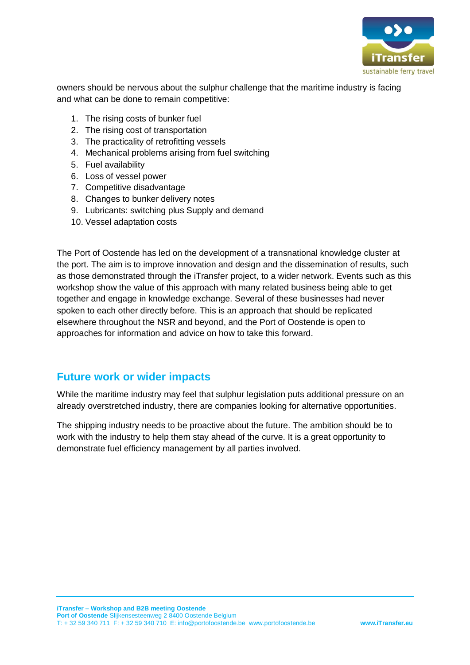

owners should be nervous about the sulphur challenge that the maritime industry is facing and what can be done to remain competitive:

- 1. The rising costs of bunker fuel
- 2. The rising cost of transportation
- 3. The practicality of retrofitting vessels
- 4. Mechanical problems arising from fuel switching
- 5. Fuel availability
- 6. Loss of vessel power
- 7. Competitive disadvantage
- 8. Changes to bunker delivery notes
- 9. Lubricants: switching plus Supply and demand
- 10. Vessel adaptation costs

The Port of Oostende has led on the development of a transnational knowledge cluster at the port. The aim is to improve innovation and design and the dissemination of results, such as those demonstrated through the iTransfer project, to a wider network. Events such as this workshop show the value of this approach with many related business being able to get together and engage in knowledge exchange. Several of these businesses had never spoken to each other directly before. This is an approach that should be replicated elsewhere throughout the NSR and beyond, and the Port of Oostende is open to approaches for information and advice on how to take this forward.

## <span id="page-9-0"></span>**Future work or wider impacts**

While the maritime industry may feel that sulphur legislation puts additional pressure on an already overstretched industry, there are companies looking for alternative opportunities.

The shipping industry needs to be proactive about the future. The ambition should be to work with the industry to help them stay ahead of the curve. It is a great opportunity to demonstrate fuel efficiency management by all parties involved.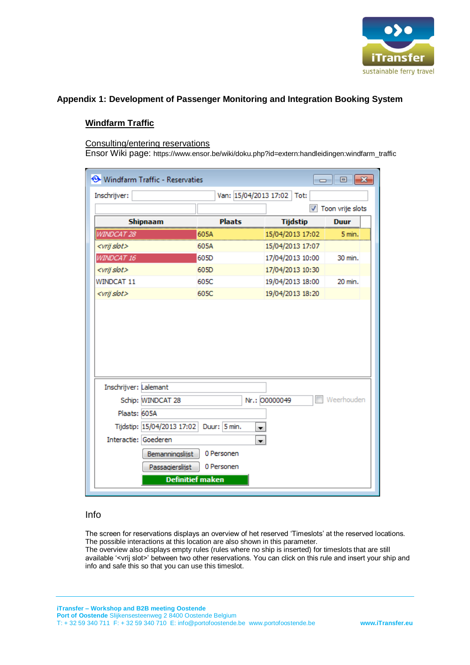

## **Appendix 1: Development of Passenger Monitoring and Integration Booking System**

## **Windfarm Traffic**

#### Consulting/entering reservations

Ensor Wiki page: https://www.ensor.be/wiki/doku.php?id=extern:handleidingen:windfarm\_traffic

| Windfarm Traffic - Reservaties<br>-23         |                                          |                  |            |  |  |  |  |  |  |
|-----------------------------------------------|------------------------------------------|------------------|------------|--|--|--|--|--|--|
| Van: 15/04/2013 17:02<br>Inschrijver:<br>Tot: |                                          |                  |            |  |  |  |  |  |  |
|                                               |                                          | Toon vrije slots |            |  |  |  |  |  |  |
| <b>Shipnaam</b>                               | <b>Plaats</b>                            | <b>Tijdstip</b>  | Duur       |  |  |  |  |  |  |
| <i>INDCAT 28</i>                              | 605A                                     | 15/04/2013 17:02 | 5 min.     |  |  |  |  |  |  |
| <vrij slot=""></vrij>                         | 605A                                     | 15/04/2013 17:07 |            |  |  |  |  |  |  |
| WINDCAT 16                                    | 605D                                     | 17/04/2013 10:00 | 30 min.    |  |  |  |  |  |  |
| <vrij slot=""></vrij>                         | 605D                                     | 17/04/2013 10:30 |            |  |  |  |  |  |  |
| WINDCAT 11                                    | 605C                                     | 19/04/2013 18:00 | 20 min.    |  |  |  |  |  |  |
| <vrij slot=""></vrij>                         | 605C                                     | 19/04/2013 18:20 |            |  |  |  |  |  |  |
| Inschrijver: Lalemant                         |                                          |                  |            |  |  |  |  |  |  |
| Schip: WINDCAT 28                             |                                          | Nr.: 00000049    | Weerhouden |  |  |  |  |  |  |
| Plaats: 605A                                  |                                          |                  |            |  |  |  |  |  |  |
| Tijdstip: 15/04/2013 17:02                    | Duur: 5 min.<br>$\overline{\phantom{a}}$ |                  |            |  |  |  |  |  |  |
| Interactie: Goederen                          | ÷                                        |                  |            |  |  |  |  |  |  |
| Bemanningslijst                               | 0 Personen                               |                  |            |  |  |  |  |  |  |
| Passagierslijst                               | 0 Personen                               |                  |            |  |  |  |  |  |  |
| <b>Definitief maken</b>                       |                                          |                  |            |  |  |  |  |  |  |

### Info

The screen for reservations displays an overview of het reserved 'Timeslots' at the reserved locations. The possible interactions at this location are also shown in this parameter. The overview also displays empty rules (rules where no ship is inserted) for timeslots that are still available '<vrij slot>' between two other reservations. You can click on this rule and insert your ship and info and safe this so that you can use this timeslot.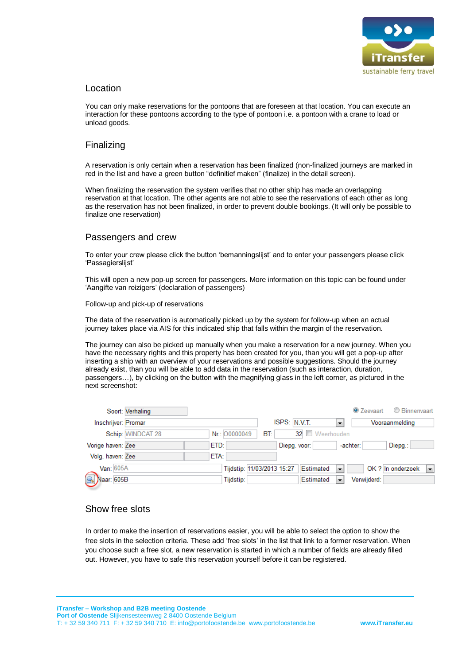

#### Location

You can only make reservations for the pontoons that are foreseen at that location. You can execute an interaction for these pontoons according to the type of pontoon i.e. a pontoon with a crane to load or unload goods.

### Finalizing

A reservation is only certain when a reservation has been finalized (non-finalized journeys are marked in red in the list and have a green button "definitief maken" (finalize) in the detail screen).

When finalizing the reservation the system verifies that no other ship has made an overlapping reservation at that location. The other agents are not able to see the reservations of each other as long as the reservation has not been finalized, in order to prevent double bookings. (It will only be possible to finalize one reservation)

#### Passengers and crew

To enter your crew please click the button 'bemanningslijst' and to enter your passengers please click 'Passagierslijst'

This will open a new pop-up screen for passengers. More information on this topic can be found under 'Aangifte van reizigers' (declaration of passengers)

Follow-up and pick-up of reservations

The data of the reservation is automatically picked up by the system for follow-up when an actual journey takes place via AIS for this indicated ship that falls within the margin of the reservation.

The journey can also be picked up manually when you make a reservation for a new journey. When you have the necessary rights and this property has been created for you, than you will get a pop-up after inserting a ship with an overview of your reservations and possible suggestions. Should the journey already exist, than you will be able to add data in the reservation (such as interaction, duration, passengers…), by clicking on the button with the magnifying glass in the left corner, as pictured in the next screenshot:

|                   | Soort: Verhaling    |               |                                          |               |                          | C Zeevaart     | <b>Binnenvaart</b>     |  |
|-------------------|---------------------|---------------|------------------------------------------|---------------|--------------------------|----------------|------------------------|--|
|                   | Inschrijver: Promar |               | ISPS: N.V.T.<br>$\overline{\phantom{a}}$ |               |                          | Vooraanmelding |                        |  |
|                   | Schip: WINDCAT 28   | Nr.: 00000049 | BT:                                      | 32 Weerhouden |                          |                |                        |  |
| Vorige haven: Zee |                     | ETD:          | Diepg. voor:                             |               | -achter:                 |                | Diepg.:                |  |
| Volg. haven: Zee  |                     | ETA:          |                                          |               |                          |                |                        |  |
| Van: 605A         |                     |               | Tijdstip: 11/03/2013 15:27               | Estimated     | $\overline{\phantom{a}}$ |                | ≂<br>OK ? In onderzoek |  |
| Naar: 605B        |                     | Tijdstip:     |                                          | Estimated     | $\overline{\phantom{a}}$ | Verwijderd:    |                        |  |

### Show free slots

In order to make the insertion of reservations easier, you will be able to select the option to show the free slots in the selection criteria. These add 'free slots' in the list that link to a former reservation. When you choose such a free slot, a new reservation is started in which a number of fields are already filled out. However, you have to safe this reservation yourself before it can be registered.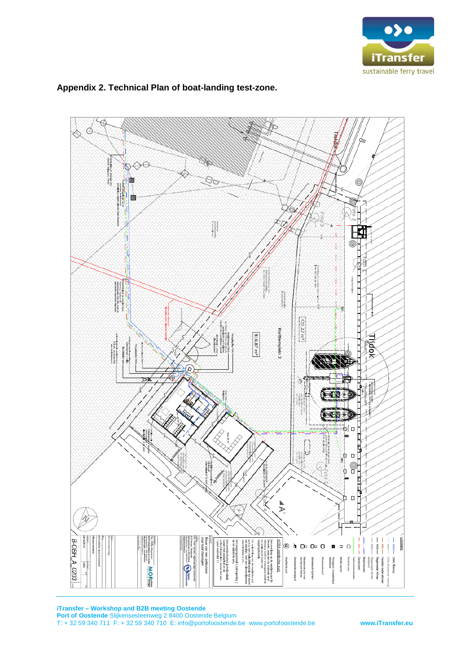



## **Appendix 2. Technical Plan of boat-landing test-zone.**

**iTransfer – Workshop and B2B meeting Oostende Port of Oostende** Slijkensesteenweg 2 8400 Oostende Belgium T: + 32 59 340 711 F: + 32 59 340 710 E: info@portofoostende.be www.portofoostende.be **www.iTransfer.eu**